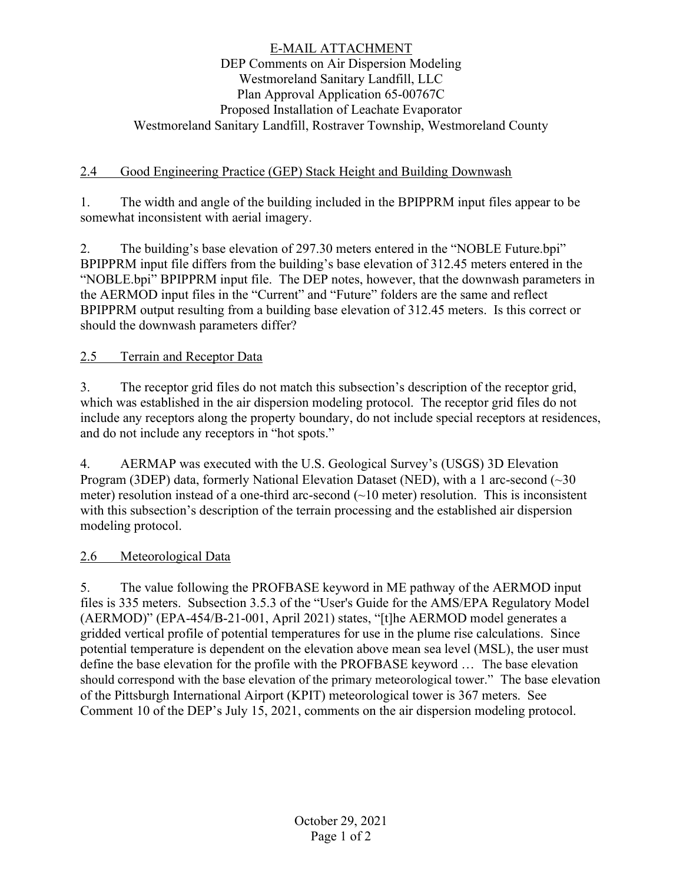### E-MAIL ATTACHMENT DEP Comments on Air Dispersion Modeling Westmoreland Sanitary Landfill, LLC Plan Approval Application 65-00767C Proposed Installation of Leachate Evaporator Westmoreland Sanitary Landfill, Rostraver Township, Westmoreland County

# 2.4 Good Engineering Practice (GEP) Stack Height and Building Downwash

1. The width and angle of the building included in the BPIPPRM input files appear to be somewhat inconsistent with aerial imagery.

2. The building's base elevation of 297.30 meters entered in the "NOBLE Future.bpi" BPIPPRM input file differs from the building's base elevation of 312.45 meters entered in the "NOBLE.bpi" BPIPPRM input file. The DEP notes, however, that the downwash parameters in the AERMOD input files in the "Current" and "Future" folders are the same and reflect BPIPPRM output resulting from a building base elevation of 312.45 meters. Is this correct or should the downwash parameters differ?

# 2.5 Terrain and Receptor Data

3. The receptor grid files do not match this subsection's description of the receptor grid, which was established in the air dispersion modeling protocol. The receptor grid files do not include any receptors along the property boundary, do not include special receptors at residences, and do not include any receptors in "hot spots."

4. AERMAP was executed with the U.S. Geological Survey's (USGS) 3D Elevation Program (3DEP) data, formerly National Elevation Dataset (NED), with a 1 arc-second (~30 meter) resolution instead of a one-third arc-second  $(\sim 10$  meter) resolution. This is inconsistent with this subsection's description of the terrain processing and the established air dispersion modeling protocol.

### 2.6 Meteorological Data

5. The value following the PROFBASE keyword in ME pathway of the AERMOD input files is 335 meters. Subsection 3.5.3 of the "User's Guide for the AMS/EPA Regulatory Model (AERMOD)" (EPA-454/B-21-001, April 2021) states, "[t]he AERMOD model generates a gridded vertical profile of potential temperatures for use in the plume rise calculations. Since potential temperature is dependent on the elevation above mean sea level (MSL), the user must define the base elevation for the profile with the PROFBASE keyword … The base elevation should correspond with the base elevation of the primary meteorological tower." The base elevation of the Pittsburgh International Airport (KPIT) meteorological tower is 367 meters. See Comment 10 of the DEP's July 15, 2021, comments on the air dispersion modeling protocol.